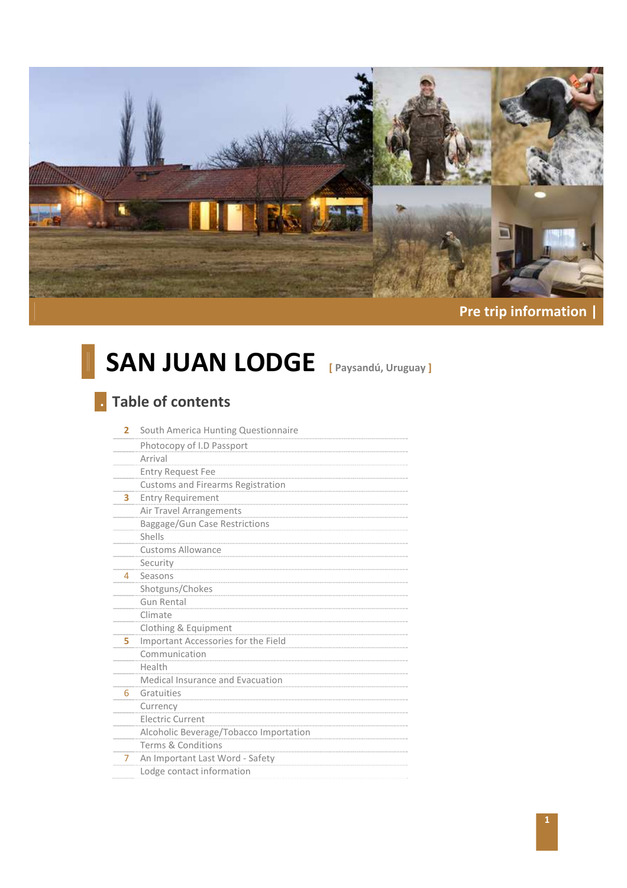

# **Pre trip information |**

# **SAN JUAN LODGE [ Paysandú, Uruguay ]**

# **. Table of contents**

| 2 | South America Hunting Questionnaire      |
|---|------------------------------------------|
|   | Photocopy of I.D Passport                |
|   | Arrival                                  |
|   | <b>Entry Request Fee</b>                 |
|   | <b>Customs and Firearms Registration</b> |
| 3 | <b>Entry Requirement</b>                 |
|   | Air Travel Arrangements                  |
|   | Baggage/Gun Case Restrictions            |
|   | Shells                                   |
|   | <b>Customs Allowance</b>                 |
|   | Security                                 |
| 4 | Seasons                                  |
|   | Shotguns/Chokes                          |
|   | <b>Gun Rental</b>                        |
|   | Climate                                  |
|   | Clothing & Equipment                     |
| 5 | Important Accessories for the Field      |
|   | Communication                            |
|   | Health                                   |
|   | Medical Insurance and Evacuation         |
| 6 | Gratuities                               |
|   | Currency                                 |
|   | <b>Electric Current</b>                  |
|   | Alcoholic Beverage/Tobacco Importation   |
|   | Terms & Conditions                       |
| 7 | An Important Last Word - Safety          |
|   | Lodge contact information                |
|   |                                          |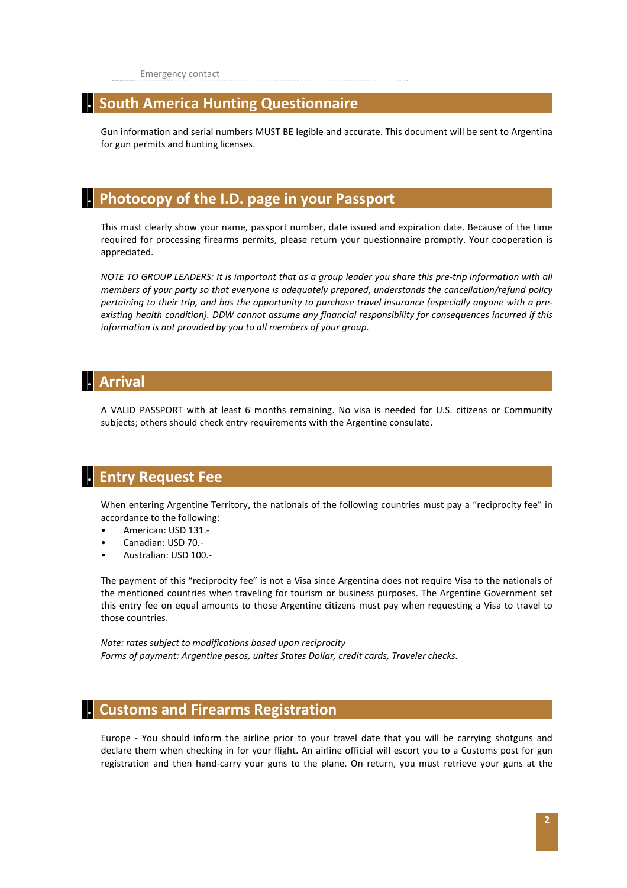Emergency contact

# **. South America Hunting Questionnaire**

Gun information and serial numbers MUST BE legible and accurate. This document will be sent to Argentina for gun permits and hunting licenses.

# **. Photocopy of the I.D. page in your Passport**

This must clearly show your name, passport number, date issued and expiration date. Because of the time required for processing firearms permits, please return your questionnaire promptly. Your cooperation is appreciated.

*NOTE TO GROUP LEADERS: It is important that as a group leader you share this pre-trip information with all members of your party so that everyone is adequately prepared, understands the cancellation/refund policy pertaining to their trip, and has the opportunity to purchase travel insurance (especially anyone with a preexisting health condition). DDW cannot assume any financial responsibility for consequences incurred if this information is not provided by you to all members of your group.* 

# **. Arrival**

A VALID PASSPORT with at least 6 months remaining. No visa is needed for U.S. citizens or Community subjects; others should check entry requirements with the Argentine consulate.

## **. Entry Request Fee**

When entering Argentine Territory, the nationals of the following countries must pay a "reciprocity fee" in accordance to the following:

- American: USD 131.-
- Canadian: USD 70.-
- Australian: USD 100.-

The payment of this "reciprocity fee" is not a Visa since Argentina does not require Visa to the nationals of the mentioned countries when traveling for tourism or business purposes. The Argentine Government set this entry fee on equal amounts to those Argentine citizens must pay when requesting a Visa to travel to those countries.

*Note: rates subject to modifications based upon reciprocity Forms of payment: Argentine pesos, unites States Dollar, credit cards, Traveler checks.* 

### **. Customs and Firearms Registration**

Europe - You should inform the airline prior to your travel date that you will be carrying shotguns and declare them when checking in for your flight. An airline official will escort you to a Customs post for gun registration and then hand-carry your guns to the plane. On return, you must retrieve your guns at the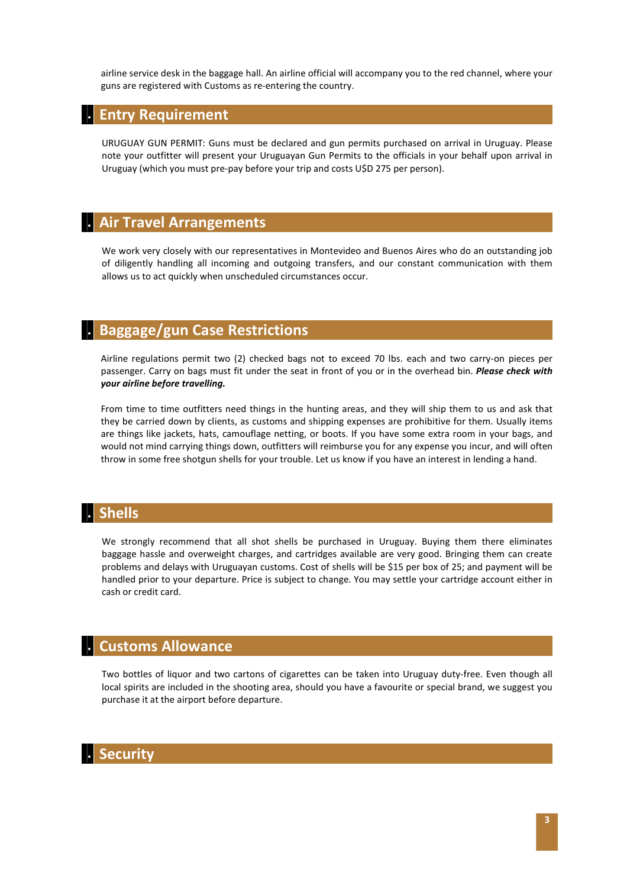airline service desk in the baggage hall. An airline official will accompany you to the red channel, where your guns are registered with Customs as re-entering the country.

#### **. Entry Requirement**

URUGUAY GUN PERMIT: Guns must be declared and gun permits purchased on arrival in Uruguay. Please note your outfitter will present your Uruguayan Gun Permits to the officials in your behalf upon arrival in Uruguay (which you must pre-pay before your trip and costs U\$D 275 per person).

### **. Air Travel Arrangements**

We work very closely with our representatives in Montevideo and Buenos Aires who do an outstanding job of diligently handling all incoming and outgoing transfers, and our constant communication with them allows us to act quickly when unscheduled circumstances occur.

### **. Baggage/gun Case Restrictions**

Airline regulations permit two (2) checked bags not to exceed 70 lbs. each and two carry-on pieces per passenger. Carry on bags must fit under the seat in front of you or in the overhead bin. *Please check with your airline before travelling.* 

From time to time outfitters need things in the hunting areas, and they will ship them to us and ask that they be carried down by clients, as customs and shipping expenses are prohibitive for them. Usually items are things like jackets, hats, camouflage netting, or boots. If you have some extra room in your bags, and would not mind carrying things down, outfitters will reimburse you for any expense you incur, and will often throw in some free shotgun shells for your trouble. Let us know if you have an interest in lending a hand.

# **. Shells**

We strongly recommend that all shot shells be purchased in Uruguay. Buying them there eliminates baggage hassle and overweight charges, and cartridges available are very good. Bringing them can create problems and delays with Uruguayan customs. Cost of shells will be \$15 per box of 25; and payment will be handled prior to your departure. Price is subject to change. You may settle your cartridge account either in cash or credit card.

# **. Customs Allowance**

Two bottles of liquor and two cartons of cigarettes can be taken into Uruguay duty-free. Even though all local spirits are included in the shooting area, should you have a favourite or special brand, we suggest you purchase it at the airport before departure.

### **. Security**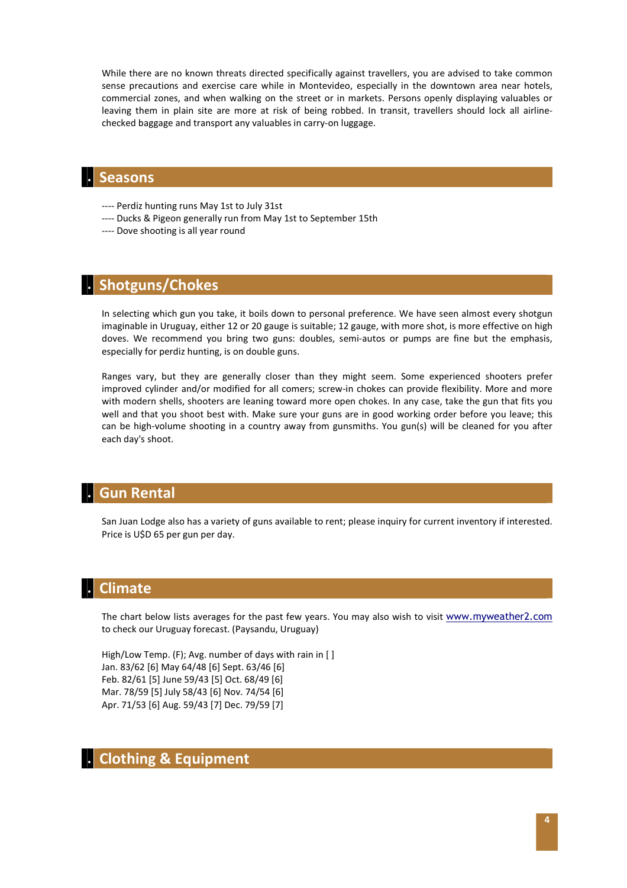While there are no known threats directed specifically against travellers, you are advised to take common sense precautions and exercise care while in Montevideo, especially in the downtown area near hotels, commercial zones, and when walking on the street or in markets. Persons openly displaying valuables or leaving them in plain site are more at risk of being robbed. In transit, travellers should lock all airlinechecked baggage and transport any valuables in carry-on luggage.

### **. Seasons**

- ---- Perdiz hunting runs May 1st to July 31st
- ---- Ducks & Pigeon generally run from May 1st to September 15th
- ---- Dove shooting is all year round

### **. Shotguns/Chokes**

In selecting which gun you take, it boils down to personal preference. We have seen almost every shotgun imaginable in Uruguay, either 12 or 20 gauge is suitable; 12 gauge, with more shot, is more effective on high doves. We recommend you bring two guns: doubles, semi-autos or pumps are fine but the emphasis, especially for perdiz hunting, is on double guns.

Ranges vary, but they are generally closer than they might seem. Some experienced shooters prefer improved cylinder and/or modified for all comers; screw-in chokes can provide flexibility. More and more with modern shells, shooters are leaning toward more open chokes. In any case, take the gun that fits you well and that you shoot best with. Make sure your guns are in good working order before you leave; this can be high-volume shooting in a country away from gunsmiths. You gun(s) will be cleaned for you after each day's shoot.

## **. Gun Rental**

San Juan Lodge also has a variety of guns available to rent; please inquiry for current inventory if interested. Price is U\$D 65 per gun per day.

# **. Climate**

The chart below lists averages for the past few years. You may also wish to visit www.myweather2.com to check our Uruguay forecast. (Paysandu, Uruguay)

High/Low Temp. (F); Avg. number of days with rain in [ ] Jan. 83/62 [6] May 64/48 [6] Sept. 63/46 [6] Feb. 82/61 [5] June 59/43 [5] Oct. 68/49 [6] Mar. 78/59 [5] July 58/43 [6] Nov. 74/54 [6] Apr. 71/53 [6] Aug. 59/43 [7] Dec. 79/59 [7]

# **. Clothing & Equipment**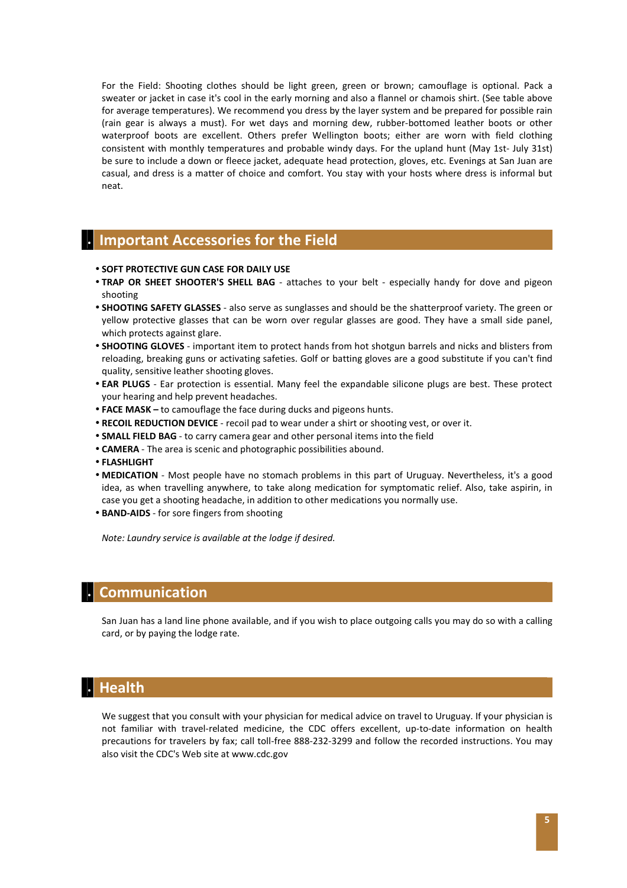For the Field: Shooting clothes should be light green, green or brown; camouflage is optional. Pack a sweater or jacket in case it's cool in the early morning and also a flannel or chamois shirt. (See table above for average temperatures). We recommend you dress by the layer system and be prepared for possible rain (rain gear is always a must). For wet days and morning dew, rubber-bottomed leather boots or other waterproof boots are excellent. Others prefer Wellington boots; either are worn with field clothing consistent with monthly temperatures and probable windy days. For the upland hunt (May 1st- July 31st) be sure to include a down or fleece jacket, adequate head protection, gloves, etc. Evenings at San Juan are casual, and dress is a matter of choice and comfort. You stay with your hosts where dress is informal but neat.

## **. Important Accessories for the Field**

- **SOFT PROTECTIVE GUN CASE FOR DAILY USE**
- **TRAP OR SHEET SHOOTER'S SHELL BAG** attaches to your belt especially handy for dove and pigeon shooting
- **SHOOTING SAFETY GLASSES** also serve as sunglasses and should be the shatterproof variety. The green or yellow protective glasses that can be worn over regular glasses are good. They have a small side panel, which protects against glare.
- **SHOOTING GLOVES** important item to protect hands from hot shotgun barrels and nicks and blisters from reloading, breaking guns or activating safeties. Golf or batting gloves are a good substitute if you can't find quality, sensitive leather shooting gloves.
- **EAR PLUGS** Ear protection is essential. Many feel the expandable silicone plugs are best. These protect your hearing and help prevent headaches.
- **FACE MASK –** to camouflage the face during ducks and pigeons hunts.
- **RECOIL REDUCTION DEVICE** recoil pad to wear under a shirt or shooting vest, or over it.
- **SMALL FIELD BAG** to carry camera gear and other personal items into the field
- **CAMERA** The area is scenic and photographic possibilities abound.
- **FLASHLIGHT**
- **MEDICATION** Most people have no stomach problems in this part of Uruguay. Nevertheless, it's a good idea, as when travelling anywhere, to take along medication for symptomatic relief. Also, take aspirin, in case you get a shooting headache, in addition to other medications you normally use.
- **BAND-AIDS** for sore fingers from shooting

*Note: Laundry service is available at the lodge if desired.* 

## **. Communication**

San Juan has a land line phone available, and if you wish to place outgoing calls you may do so with a calling card, or by paying the lodge rate.

### **. Health**

We suggest that you consult with your physician for medical advice on travel to Uruguay. If your physician is not familiar with travel-related medicine, the CDC offers excellent, up-to-date information on health precautions for travelers by fax; call toll-free 888-232-3299 and follow the recorded instructions. You may also visit the CDC's Web site at www.cdc.gov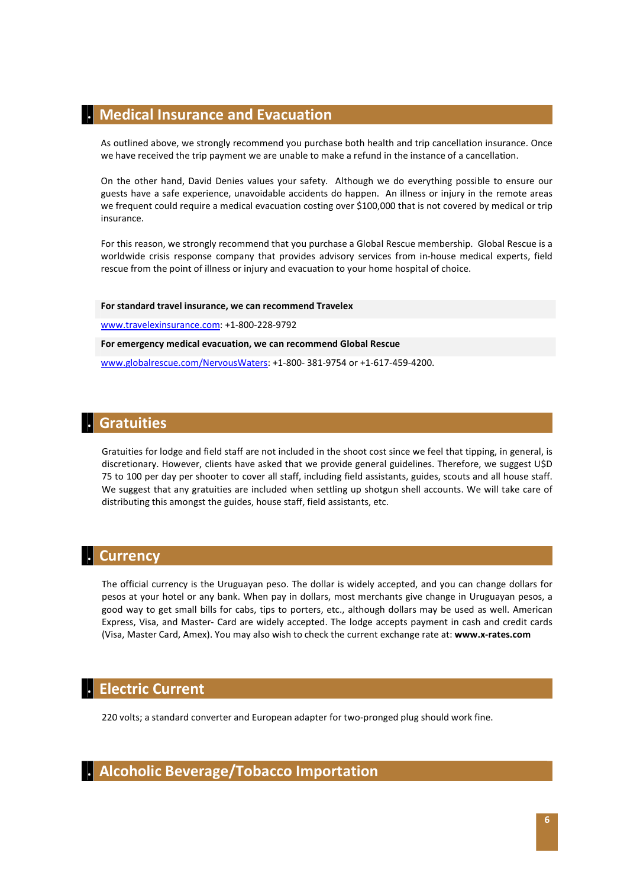### **. Medical Insurance and Evacuation**

As outlined above, we strongly recommend you purchase both health and trip cancellation insurance. Once we have received the trip payment we are unable to make a refund in the instance of a cancellation.

On the other hand, David Denies values your safety. Although we do everything possible to ensure our guests have a safe experience, unavoidable accidents do happen. An illness or injury in the remote areas we frequent could require a medical evacuation costing over \$100,000 that is not covered by medical or trip insurance.

For this reason, we strongly recommend that you purchase a Global Rescue membership. Global Rescue is a worldwide crisis response company that provides advisory services from in-house medical experts, field rescue from the point of illness or injury and evacuation to your home hospital of choice.

#### **For standard travel insurance, we can recommend Travelex**

www.travelexinsurance.com: +1-800-228-9792

**For emergency medical evacuation, we can recommend Global Rescue**

www.globalrescue.com/NervousWaters: +1-800- 381-9754 or +1-617-459-4200.

### **. Gratuities**

Gratuities for lodge and field staff are not included in the shoot cost since we feel that tipping, in general, is discretionary. However, clients have asked that we provide general guidelines. Therefore, we suggest U\$D 75 to 100 per day per shooter to cover all staff, including field assistants, guides, scouts and all house staff. We suggest that any gratuities are included when settling up shotgun shell accounts. We will take care of distributing this amongst the guides, house staff, field assistants, etc.

## **. Currency**

The official currency is the Uruguayan peso. The dollar is widely accepted, and you can change dollars for pesos at your hotel or any bank. When pay in dollars, most merchants give change in Uruguayan pesos, a good way to get small bills for cabs, tips to porters, etc., although dollars may be used as well. American Express, Visa, and Master- Card are widely accepted. The lodge accepts payment in cash and credit cards (Visa, Master Card, Amex). You may also wish to check the current exchange rate at: **www.x-rates.com**

### **. Electric Current**

220 volts; a standard converter and European adapter for two-pronged plug should work fine.

# **. Alcoholic Beverage/Tobacco Importation**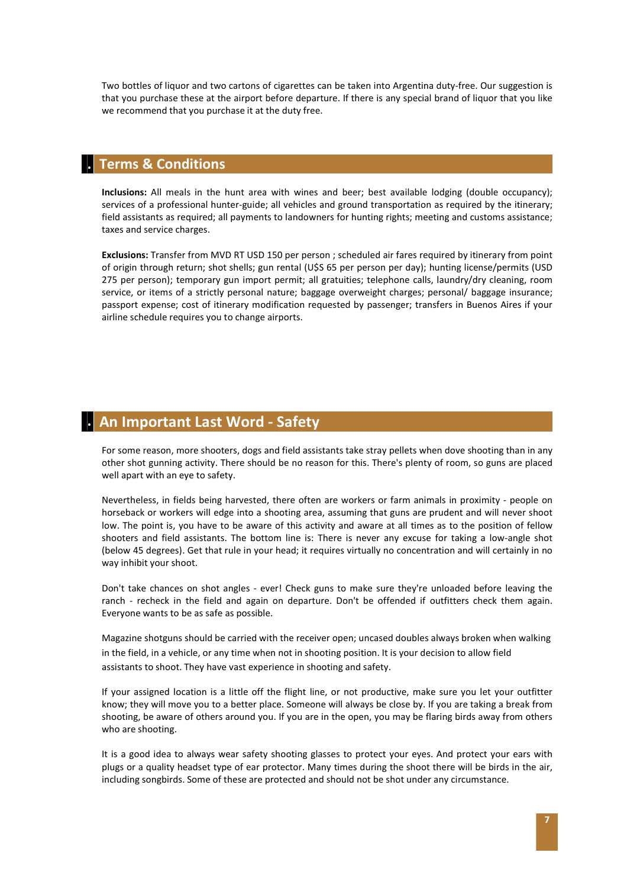Two bottles of liquor and two cartons of cigarettes can be taken into Argentina duty-free. Our suggestion is that you purchase these at the airport before departure. If there is any special brand of liquor that you like we recommend that you purchase it at the duty free.

#### **. Terms & Conditions**

**Inclusions:** All meals in the hunt area with wines and beer; best available lodging (double occupancy); services of a professional hunter-guide; all vehicles and ground transportation as required by the itinerary; field assistants as required; all payments to landowners for hunting rights; meeting and customs assistance; taxes and service charges.

**Exclusions:** Transfer from MVD RT USD 150 per person ; scheduled air fares required by itinerary from point of origin through return; shot shells; gun rental (U\$S 65 per person per day); hunting license/permits (USD 275 per person); temporary gun import permit; all gratuities; telephone calls, laundry/dry cleaning, room service, or items of a strictly personal nature; baggage overweight charges; personal/ baggage insurance; passport expense; cost of itinerary modification requested by passenger; transfers in Buenos Aires if your airline schedule requires you to change airports.

## **. An Important Last Word - Safety**

For some reason, more shooters, dogs and field assistants take stray pellets when dove shooting than in any other shot gunning activity. There should be no reason for this. There's plenty of room, so guns are placed well apart with an eye to safety.

Nevertheless, in fields being harvested, there often are workers or farm animals in proximity - people on horseback or workers will edge into a shooting area, assuming that guns are prudent and will never shoot low. The point is, you have to be aware of this activity and aware at all times as to the position of fellow shooters and field assistants. The bottom line is: There is never any excuse for taking a low-angle shot (below 45 degrees). Get that rule in your head; it requires virtually no concentration and will certainly in no way inhibit your shoot.

Don't take chances on shot angles - ever! Check guns to make sure they're unloaded before leaving the ranch - recheck in the field and again on departure. Don't be offended if outfitters check them again. Everyone wants to be as safe as possible.

Magazine shotguns should be carried with the receiver open; uncased doubles always broken when walking in the field, in a vehicle, or any time when not in shooting position. It is your decision to allow field assistants to shoot. They have vast experience in shooting and safety.

If your assigned location is a little off the flight line, or not productive, make sure you let your outfitter know; they will move you to a better place. Someone will always be close by. If you are taking a break from shooting, be aware of others around you. If you are in the open, you may be flaring birds away from others who are shooting.

It is a good idea to always wear safety shooting glasses to protect your eyes. And protect your ears with plugs or a quality headset type of ear protector. Many times during the shoot there will be birds in the air, including songbirds. Some of these are protected and should not be shot under any circumstance.